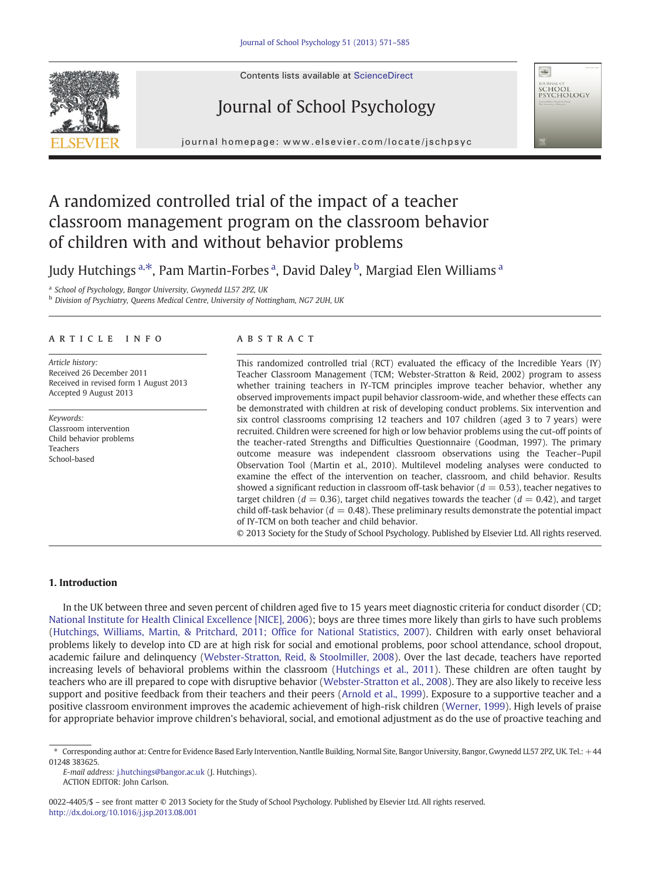Contents lists available at ScienceDirect

# Journal of School Psychology



journal home page: www.elsevier.com/locate/jschpsychpsych

# A randomized controlled trial of the impact of a teacher classroom management program on the classroom behavior of children with and without behavior problems

Judy Hutchings <sup>a, $\ast$ </sup>, Pam Martin-Forbes <sup>a</sup>, David Daley <sup>b</sup>, Margiad Elen Williams <sup>a</sup>

<sup>a</sup> School of Psychology, Bangor University, Gwynedd LL57 2PZ, UK

<sup>b</sup> Division of Psychiatry, Queens Medical Centre, University of Nottingham, NG7 2UH, UK

# article info abstract

Article history: Received 26 December 2011 Received in revised form 1 August 2013 Accepted 9 August 2013

Keywords: Classroom intervention Child behavior problems Teachers School-based

This randomized controlled trial (RCT) evaluated the efficacy of the Incredible Years (IY) Teacher Classroom Management (TCM; Webster-Stratton & Reid, 2002) program to assess whether training teachers in IY-TCM principles improve teacher behavior, whether any observed improvements impact pupil behavior classroom-wide, and whether these effects can be demonstrated with children at risk of developing conduct problems. Six intervention and six control classrooms comprising 12 teachers and 107 children (aged 3 to 7 years) were recruited. Children were screened for high or low behavior problems using the cut-off points of the teacher-rated Strengths and Difficulties Questionnaire (Goodman, 1997). The primary outcome measure was independent classroom observations using the Teacher–Pupil Observation Tool (Martin et al., 2010). Multilevel modeling analyses were conducted to examine the effect of the intervention on teacher, classroom, and child behavior. Results showed a significant reduction in classroom off-task behavior ( $d = 0.53$ ), teacher negatives to target children ( $d = 0.36$ ), target child negatives towards the teacher ( $d = 0.42$ ), and target child off-task behavior ( $d = 0.48$ ). These preliminary results demonstrate the potential impact of IY-TCM on both teacher and child behavior.

© 2013 Society for the Study of School Psychology. Published by Elsevier Ltd. All rights reserved.

# 1. Introduction

In the UK between three and seven percent of children aged five to 15 years meet diagnostic criteria for conduct disorder (CD; [National Institute for Health Clinical Excellence \[NICE\], 2006](#page-14-0)); boys are three times more likely than girls to have such problems ([Hutchings, Williams, Martin, & Pritchard, 2011; Office for National Statistics, 2007\)](#page-13-0). Children with early onset behavioral problems likely to develop into CD are at high risk for social and emotional problems, poor school attendance, school dropout, academic failure and delinquency [\(Webster-Stratton, Reid, & Stoolmiller, 2008\)](#page-14-0). Over the last decade, teachers have reported increasing levels of behavioral problems within the classroom [\(Hutchings et al., 2011\)](#page-13-0). These children are often taught by teachers who are ill prepared to cope with disruptive behavior [\(Webster-Stratton et al., 2008\)](#page-14-0). They are also likely to receive less support and positive feedback from their teachers and their peers ([Arnold et al., 1999](#page-13-0)). Exposure to a supportive teacher and a positive classroom environment improves the academic achievement of high-risk children [\(Werner, 1999](#page-14-0)). High levels of praise for appropriate behavior improve children's behavioral, social, and emotional adjustment as do the use of proactive teaching and

0022-4405/\$ – see front matter © 2013 Society for the Study of School Psychology. Published by Elsevier Ltd. All rights reserved. <http://dx.doi.org/10.1016/j.jsp.2013.08.001>

<sup>⁎</sup> Corresponding author at: Centre for Evidence Based Early Intervention, Nantlle Building, Normal Site, Bangor University, Bangor, Gwynedd LL57 2PZ, UK. Tel.: +44 01248 383625.

E-mail address: [j.hutchings@bangor.ac.uk](mailto:j.hutchings@bangor.ac.uk) (J. Hutchings). ACTION EDITOR: John Carlson.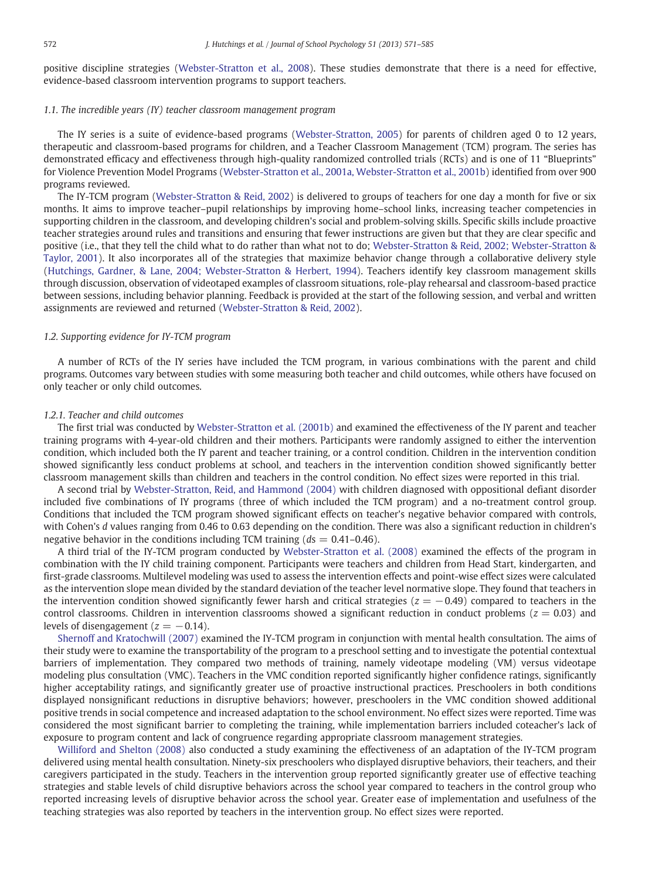positive discipline strategies ([Webster-Stratton et al., 2008](#page-14-0)). These studies demonstrate that there is a need for effective, evidence-based classroom intervention programs to support teachers.

# 1.1. The incredible years (IY) teacher classroom management program

The IY series is a suite of evidence-based programs ([Webster-Stratton, 2005](#page-14-0)) for parents of children aged 0 to 12 years, therapeutic and classroom-based programs for children, and a Teacher Classroom Management (TCM) program. The series has demonstrated efficacy and effectiveness through high-quality randomized controlled trials (RCTs) and is one of 11 "Blueprints" for Violence Prevention Model Programs ([Webster-Stratton et al., 2001a, Webster-Stratton et al., 2001b\)](#page-14-0) identified from over 900 programs reviewed.

The IY-TCM program ([Webster-Stratton & Reid, 2002](#page-14-0)) is delivered to groups of teachers for one day a month for five or six months. It aims to improve teacher–pupil relationships by improving home–school links, increasing teacher competencies in supporting children in the classroom, and developing children's social and problem-solving skills. Specific skills include proactive teacher strategies around rules and transitions and ensuring that fewer instructions are given but that they are clear specific and positive (i.e., that they tell the child what to do rather than what not to do; [Webster-Stratton & Reid, 2002; Webster-Stratton &](#page-14-0) [Taylor, 2001\)](#page-14-0). It also incorporates all of the strategies that maximize behavior change through a collaborative delivery style [\(Hutchings, Gardner, & Lane, 2004; Webster-Stratton & Herbert, 1994](#page-13-0)). Teachers identify key classroom management skills through discussion, observation of videotaped examples of classroom situations, role-play rehearsal and classroom-based practice between sessions, including behavior planning. Feedback is provided at the start of the following session, and verbal and written assignments are reviewed and returned [\(Webster-Stratton & Reid, 2002](#page-14-0)).

# 1.2. Supporting evidence for IY-TCM program

A number of RCTs of the IY series have included the TCM program, in various combinations with the parent and child programs. Outcomes vary between studies with some measuring both teacher and child outcomes, while others have focused on only teacher or only child outcomes.

# 1.2.1. Teacher and child outcomes

The first trial was conducted by [Webster-Stratton et al. \(2001b\)](#page-14-0) and examined the effectiveness of the IY parent and teacher training programs with 4-year-old children and their mothers. Participants were randomly assigned to either the intervention condition, which included both the IY parent and teacher training, or a control condition. Children in the intervention condition showed significantly less conduct problems at school, and teachers in the intervention condition showed significantly better classroom management skills than children and teachers in the control condition. No effect sizes were reported in this trial.

A second trial by [Webster-Stratton, Reid, and Hammond \(2004\)](#page-14-0) with children diagnosed with oppositional defiant disorder included five combinations of IY programs (three of which included the TCM program) and a no-treatment control group. Conditions that included the TCM program showed significant effects on teacher's negative behavior compared with controls, with Cohen's d values ranging from 0.46 to 0.63 depending on the condition. There was also a significant reduction in children's negative behavior in the conditions including TCM training  $(ds = 0.41-0.46)$ .

A third trial of the IY-TCM program conducted by [Webster-Stratton et al. \(2008\)](#page-14-0) examined the effects of the program in combination with the IY child training component. Participants were teachers and children from Head Start, kindergarten, and first-grade classrooms. Multilevel modeling was used to assess the intervention effects and point-wise effect sizes were calculated as the intervention slope mean divided by the standard deviation of the teacher level normative slope. They found that teachers in the intervention condition showed significantly fewer harsh and critical strategies ( $z = -0.49$ ) compared to teachers in the control classrooms. Children in intervention classrooms showed a significant reduction in conduct problems ( $z = 0.03$ ) and levels of disengagement ( $z = -0.14$ ).

[Shernoff and Kratochwill \(2007\)](#page-14-0) examined the IY-TCM program in conjunction with mental health consultation. The aims of their study were to examine the transportability of the program to a preschool setting and to investigate the potential contextual barriers of implementation. They compared two methods of training, namely videotape modeling (VM) versus videotape modeling plus consultation (VMC). Teachers in the VMC condition reported significantly higher confidence ratings, significantly higher acceptability ratings, and significantly greater use of proactive instructional practices. Preschoolers in both conditions displayed nonsignificant reductions in disruptive behaviors; however, preschoolers in the VMC condition showed additional positive trends in social competence and increased adaptation to the school environment. No effect sizes were reported. Time was considered the most significant barrier to completing the training, while implementation barriers included coteacher's lack of exposure to program content and lack of congruence regarding appropriate classroom management strategies.

[Williford and Shelton \(2008\)](#page-14-0) also conducted a study examining the effectiveness of an adaptation of the IY-TCM program delivered using mental health consultation. Ninety-six preschoolers who displayed disruptive behaviors, their teachers, and their caregivers participated in the study. Teachers in the intervention group reported significantly greater use of effective teaching strategies and stable levels of child disruptive behaviors across the school year compared to teachers in the control group who reported increasing levels of disruptive behavior across the school year. Greater ease of implementation and usefulness of the teaching strategies was also reported by teachers in the intervention group. No effect sizes were reported.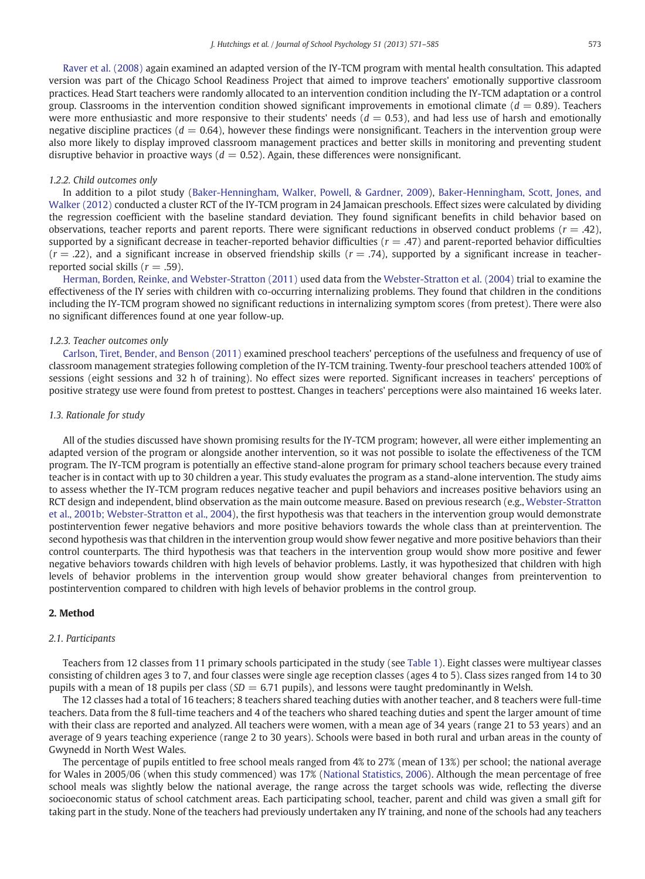[Raver et al. \(2008\)](#page-14-0) again examined an adapted version of the IY-TCM program with mental health consultation. This adapted version was part of the Chicago School Readiness Project that aimed to improve teachers' emotionally supportive classroom practices. Head Start teachers were randomly allocated to an intervention condition including the IY-TCM adaptation or a control group. Classrooms in the intervention condition showed significant improvements in emotional climate ( $d = 0.89$ ). Teachers were more enthusiastic and more responsive to their students' needs  $(d = 0.53)$ , and had less use of harsh and emotionally negative discipline practices ( $d = 0.64$ ), however these findings were nonsignificant. Teachers in the intervention group were also more likely to display improved classroom management practices and better skills in monitoring and preventing student disruptive behavior in proactive ways ( $d = 0.52$ ). Again, these differences were nonsignificant.

# 1.2.2. Child outcomes only

In addition to a pilot study [\(Baker-Henningham, Walker, Powell, & Gardner, 2009\)](#page-13-0), [Baker-Henningham, Scott, Jones, and](#page-13-0) [Walker \(2012\)](#page-13-0) conducted a cluster RCT of the IY-TCM program in 24 Jamaican preschools. Effect sizes were calculated by dividing the regression coefficient with the baseline standard deviation. They found significant benefits in child behavior based on observations, teacher reports and parent reports. There were significant reductions in observed conduct problems  $(r = .42)$ , supported by a significant decrease in teacher-reported behavior difficulties ( $r = .47$ ) and parent-reported behavior difficulties  $(r = .22)$ , and a significant increase in observed friendship skills  $(r = .74)$ , supported by a significant increase in teacherreported social skills  $(r = .59)$ .

[Herman, Borden, Reinke, and Webster-Stratton \(2011\)](#page-13-0) used data from the [Webster-Stratton et al. \(2004\)](#page-14-0) trial to examine the effectiveness of the IY series with children with co-occurring internalizing problems. They found that children in the conditions including the IY-TCM program showed no significant reductions in internalizing symptom scores (from pretest). There were also no significant differences found at one year follow-up.

# 1.2.3. Teacher outcomes only

[Carlson, Tiret, Bender, and Benson \(2011\)](#page-13-0) examined preschool teachers' perceptions of the usefulness and frequency of use of classroom management strategies following completion of the IY-TCM training. Twenty-four preschool teachers attended 100% of sessions (eight sessions and 32 h of training). No effect sizes were reported. Significant increases in teachers' perceptions of positive strategy use were found from pretest to posttest. Changes in teachers' perceptions were also maintained 16 weeks later.

# 1.3. Rationale for study

All of the studies discussed have shown promising results for the IY-TCM program; however, all were either implementing an adapted version of the program or alongside another intervention, so it was not possible to isolate the effectiveness of the TCM program. The IY-TCM program is potentially an effective stand-alone program for primary school teachers because every trained teacher is in contact with up to 30 children a year. This study evaluates the program as a stand-alone intervention. The study aims to assess whether the IY-TCM program reduces negative teacher and pupil behaviors and increases positive behaviors using an RCT design and independent, blind observation as the main outcome measure. Based on previous research (e.g., [Webster-Stratton](#page-14-0) [et al., 2001b; Webster-Stratton et al., 2004\)](#page-14-0), the first hypothesis was that teachers in the intervention group would demonstrate postintervention fewer negative behaviors and more positive behaviors towards the whole class than at preintervention. The second hypothesis was that children in the intervention group would show fewer negative and more positive behaviors than their control counterparts. The third hypothesis was that teachers in the intervention group would show more positive and fewer negative behaviors towards children with high levels of behavior problems. Lastly, it was hypothesized that children with high levels of behavior problems in the intervention group would show greater behavioral changes from preintervention to postintervention compared to children with high levels of behavior problems in the control group.

# 2. Method

# 2.1. Participants

Teachers from 12 classes from 11 primary schools participated in the study (see [Table 1](#page-3-0)). Eight classes were multiyear classes consisting of children ages 3 to 7, and four classes were single age reception classes (ages 4 to 5). Class sizes ranged from 14 to 30 pupils with a mean of 18 pupils per class ( $SD = 6.71$  pupils), and lessons were taught predominantly in Welsh.

The 12 classes had a total of 16 teachers; 8 teachers shared teaching duties with another teacher, and 8 teachers were full-time teachers. Data from the 8 full-time teachers and 4 of the teachers who shared teaching duties and spent the larger amount of time with their class are reported and analyzed. All teachers were women, with a mean age of 34 years (range 21 to 53 years) and an average of 9 years teaching experience (range 2 to 30 years). Schools were based in both rural and urban areas in the county of Gwynedd in North West Wales.

The percentage of pupils entitled to free school meals ranged from 4% to 27% (mean of 13%) per school; the national average for Wales in 2005/06 (when this study commenced) was 17% ([National Statistics, 2006\)](#page-14-0). Although the mean percentage of free school meals was slightly below the national average, the range across the target schools was wide, reflecting the diverse socioeconomic status of school catchment areas. Each participating school, teacher, parent and child was given a small gift for taking part in the study. None of the teachers had previously undertaken any IY training, and none of the schools had any teachers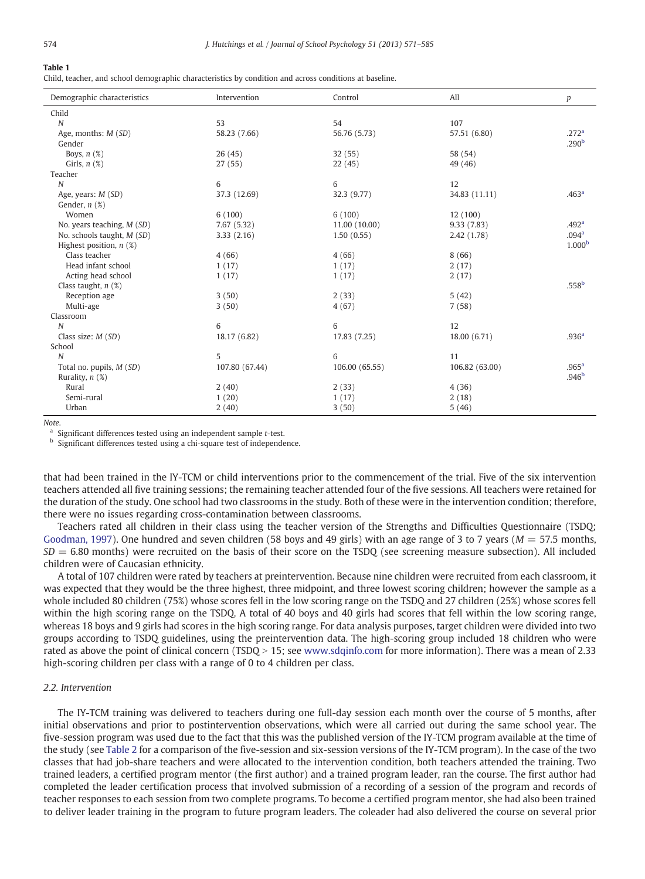#### <span id="page-3-0"></span>Table 1

Child, teacher, and school demographic characteristics by condition and across conditions at baseline.

| Demographic characteristics         | Intervention   | Control        | All            | p                  |  |
|-------------------------------------|----------------|----------------|----------------|--------------------|--|
| Child                               |                |                |                |                    |  |
| $\boldsymbol{N}$                    | 53             | 54             | 107            |                    |  |
| Age, months: <i>M</i> ( <i>SD</i> ) | 58.23 (7.66)   | 56.76 (5.73)   | 57.51 (6.80)   | .272 <sup>a</sup>  |  |
| Gender                              |                |                |                | .290 <sup>b</sup>  |  |
| Boys, $n$ $(\%)$                    | 26(45)         | 32(55)         | 58 (54)        |                    |  |
| Girls, $n$ $(\%)$                   | 27(55)         | 22(45)         | 49 (46)        |                    |  |
| Teacher                             |                |                |                |                    |  |
| N                                   | 6              | 6              | 12             |                    |  |
| Age, years: M (SD)                  | 37.3 (12.69)   | 32.3 (9.77)    | 34.83 (11.11)  | .463 <sup>a</sup>  |  |
| Gender, $n$ $(\%)$                  |                |                |                |                    |  |
| Women                               | 6(100)         | 6(100)         | 12(100)        |                    |  |
| No. years teaching, M (SD)          | 7.67(5.32)     | 11.00 (10.00)  | 9.33(7.83)     | .492 <sup>a</sup>  |  |
| No. schools taught, M (SD)          | 3.33(2.16)     | 1.50(0.55)     | 2.42 (1.78)    | .094 <sup>a</sup>  |  |
| Highest position, $n$ (%)           |                |                |                | 1.000 <sup>b</sup> |  |
| Class teacher                       | 4(66)          | 4(66)          | 8(66)          |                    |  |
| Head infant school                  | 1(17)          | 1(17)          | 2(17)          |                    |  |
| Acting head school                  | 1(17)          | 1(17)          | 2(17)          |                    |  |
| Class taught, $n$ (%)               |                |                |                | .558 <sup>b</sup>  |  |
| Reception age                       | 3(50)          | 2(33)          | 5(42)          |                    |  |
| Multi-age                           | 3(50)          | 4(67)          | 7(58)          |                    |  |
| Classroom                           |                |                |                |                    |  |
| N                                   | 6              | 6              | 12             |                    |  |
| Class size: $M(SD)$                 | 18.17 (6.82)   | 17.83 (7.25)   | 18.00 (6.71)   | .936 <sup>a</sup>  |  |
| School                              |                |                |                |                    |  |
| N                                   | 5              | 6              | 11             |                    |  |
| Total no. pupils, M (SD)            | 107.80 (67.44) | 106.00 (65.55) | 106.82 (63.00) | .965 <sup>a</sup>  |  |
| Rurality, $n$ $(\%)$                |                |                |                | .946 <sup>b</sup>  |  |
| Rural                               | 2(40)          | 2(33)          | 4(36)          |                    |  |
| Semi-rural                          | 1(20)          | 1(17)          | 2(18)          |                    |  |
| Urban                               | 2(40)          | 3(50)          | 5(46)          |                    |  |

Note.

<sup>a</sup> Significant differences tested using an independent sample t-test.

<sup>b</sup> Significant differences tested using a chi-square test of independence.

that had been trained in the IY-TCM or child interventions prior to the commencement of the trial. Five of the six intervention teachers attended all five training sessions; the remaining teacher attended four of the five sessions. All teachers were retained for the duration of the study. One school had two classrooms in the study. Both of these were in the intervention condition; therefore, there were no issues regarding cross-contamination between classrooms.

Teachers rated all children in their class using the teacher version of the Strengths and Difficulties Questionnaire (TSDQ; [Goodman, 1997\)](#page-13-0). One hundred and seven children (58 boys and 49 girls) with an age range of 3 to 7 years ( $M = 57.5$  months,  $SD = 6.80$  months) were recruited on the basis of their score on the TSDQ (see screening measure subsection). All included children were of Caucasian ethnicity.

A total of 107 children were rated by teachers at preintervention. Because nine children were recruited from each classroom, it was expected that they would be the three highest, three midpoint, and three lowest scoring children; however the sample as a whole included 80 children (75%) whose scores fell in the low scoring range on the TSDQ and 27 children (25%) whose scores fell within the high scoring range on the TSDQ. A total of 40 boys and 40 girls had scores that fell within the low scoring range, whereas 18 boys and 9 girls had scores in the high scoring range. For data analysis purposes, target children were divided into two groups according to TSDQ guidelines, using the preintervention data. The high-scoring group included 18 children who were rated as above the point of clinical concern (TSDQ > 15; see [www.sdqinfo.com](http://www.sdqinfo.com) for more information). There was a mean of 2.33 high-scoring children per class with a range of 0 to 4 children per class.

# 2.2. Intervention

The IY-TCM training was delivered to teachers during one full-day session each month over the course of 5 months, after initial observations and prior to postintervention observations, which were all carried out during the same school year. The five-session program was used due to the fact that this was the published version of the IY-TCM program available at the time of the study (see [Table 2](#page-4-0) for a comparison of the five-session and six-session versions of the IY-TCM program). In the case of the two classes that had job-share teachers and were allocated to the intervention condition, both teachers attended the training. Two trained leaders, a certified program mentor (the first author) and a trained program leader, ran the course. The first author had completed the leader certification process that involved submission of a recording of a session of the program and records of teacher responses to each session from two complete programs. To become a certified program mentor, she had also been trained to deliver leader training in the program to future program leaders. The coleader had also delivered the course on several prior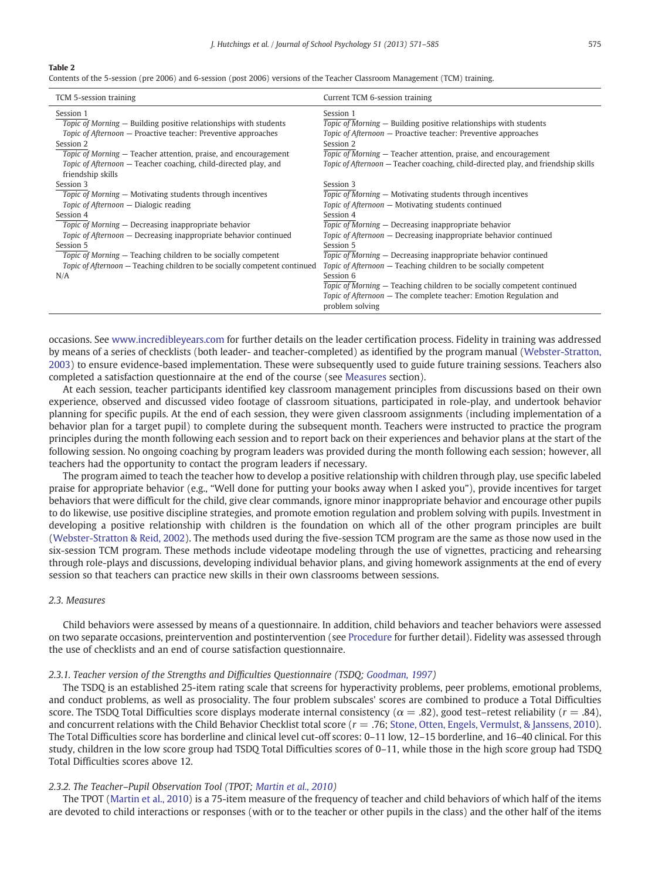# <span id="page-4-0"></span>Table 2

Contents of the 5-session (pre 2006) and 6-session (post 2006) versions of the Teacher Classroom Management (TCM) training.

| TCM 5-session training                                                                                                                                                                                                                                                                                                                                                                                                     | Current TCM 6-session training                                                                                                                                                                                                                                                                                                                                                                                                                                                                                                                                                                          |
|----------------------------------------------------------------------------------------------------------------------------------------------------------------------------------------------------------------------------------------------------------------------------------------------------------------------------------------------------------------------------------------------------------------------------|---------------------------------------------------------------------------------------------------------------------------------------------------------------------------------------------------------------------------------------------------------------------------------------------------------------------------------------------------------------------------------------------------------------------------------------------------------------------------------------------------------------------------------------------------------------------------------------------------------|
| Session 1<br>Topic of Morning – Building positive relationships with students<br>Topic of Afternoon - Proactive teacher: Preventive approaches<br>Session 2<br>Topic of Morning – Teacher attention, praise, and encouragement<br>Topic of Afternoon – Teacher coaching, child-directed play, and<br>friendship skills                                                                                                     | Session 1<br>Topic of Morning – Building positive relationships with students<br>Topic of Afternoon - Proactive teacher: Preventive approaches<br>Session 2<br>Topic of Morning – Teacher attention, praise, and encouragement<br>Topic of Afternoon – Teacher coaching, child-directed play, and friendship skills                                                                                                                                                                                                                                                                                     |
| Session 3<br>Topic of Morning – Motivating students through incentives<br>Topic of Afternoon - Dialogic reading<br>Session 4<br>Topic of Morning – Decreasing inappropriate behavior<br>Topic of Afternoon – Decreasing inappropriate behavior continued<br>Session 5<br>Topic of Morning – Teaching children to be socially competent<br>Topic of Afternoon – Teaching children to be socially competent continued<br>N/A | Session 3<br>Topic of Morning – Motivating students through incentives<br>Topic of Afternoon - Motivating students continued<br>Session 4<br>Topic of Morning - Decreasing inappropriate behavior<br>Topic of Afternoon – Decreasing inappropriate behavior continued<br>Session 5<br>Topic of Morning - Decreasing inappropriate behavior continued<br>Topic of Afternoon – Teaching children to be socially competent<br>Session 6<br>Topic of Morning – Teaching children to be socially competent continued<br>Topic of Afternoon – The complete teacher: Emotion Regulation and<br>problem solving |

occasions. See [www.incredibleyears.com](http://www.incredibleyears.com) for further details on the leader certification process. Fidelity in training was addressed by means of a series of checklists (both leader- and teacher-completed) as identified by the program manual [\(Webster-Stratton,](#page-14-0) [2003](#page-14-0)) to ensure evidence-based implementation. These were subsequently used to guide future training sessions. Teachers also completed a satisfaction questionnaire at the end of the course (see Measures section).

At each session, teacher participants identified key classroom management principles from discussions based on their own experience, observed and discussed video footage of classroom situations, participated in role-play, and undertook behavior planning for specific pupils. At the end of each session, they were given classroom assignments (including implementation of a behavior plan for a target pupil) to complete during the subsequent month. Teachers were instructed to practice the program principles during the month following each session and to report back on their experiences and behavior plans at the start of the following session. No ongoing coaching by program leaders was provided during the month following each session; however, all teachers had the opportunity to contact the program leaders if necessary.

The program aimed to teach the teacher how to develop a positive relationship with children through play, use specific labeled praise for appropriate behavior (e.g., "Well done for putting your books away when I asked you"), provide incentives for target behaviors that were difficult for the child, give clear commands, ignore minor inappropriate behavior and encourage other pupils to do likewise, use positive discipline strategies, and promote emotion regulation and problem solving with pupils. Investment in developing a positive relationship with children is the foundation on which all of the other program principles are built ([Webster-Stratton & Reid, 2002](#page-14-0)). The methods used during the five-session TCM program are the same as those now used in the six-session TCM program. These methods include videotape modeling through the use of vignettes, practicing and rehearsing through role-plays and discussions, developing individual behavior plans, and giving homework assignments at the end of every session so that teachers can practice new skills in their own classrooms between sessions.

# 2.3. Measures

Child behaviors were assessed by means of a questionnaire. In addition, child behaviors and teacher behaviors were assessed on two separate occasions, preintervention and postintervention (see [Procedure](#page-5-0) for further detail). Fidelity was assessed through the use of checklists and an end of course satisfaction questionnaire.

# 2.3.1. Teacher version of the Strengths and Difficulties Questionnaire (TSDQ; [Goodman, 1997\)](#page-13-0)

The TSDQ is an established 25-item rating scale that screens for hyperactivity problems, peer problems, emotional problems, and conduct problems, as well as prosociality. The four problem subscales' scores are combined to produce a Total Difficulties score. The TSDQ Total Difficulties score displays moderate internal consistency ( $\alpha = .82$ ), good test–retest reliability ( $r = .84$ ), and concurrent relations with the Child Behavior Checklist total score ( $r = .76$ ; [Stone, Otten, Engels, Vermulst, & Janssens, 2010](#page-14-0)). The Total Difficulties score has borderline and clinical level cut-off scores: 0–11 low, 12–15 borderline, and 16–40 clinical. For this study, children in the low score group had TSDQ Total Difficulties scores of 0–11, while those in the high score group had TSDQ Total Difficulties scores above 12.

# 2.3.2. The Teacher–Pupil Observation Tool (TPOT; [Martin et al., 2010\)](#page-13-0)

The TPOT [\(Martin et al., 2010](#page-13-0)) is a 75-item measure of the frequency of teacher and child behaviors of which half of the items are devoted to child interactions or responses (with or to the teacher or other pupils in the class) and the other half of the items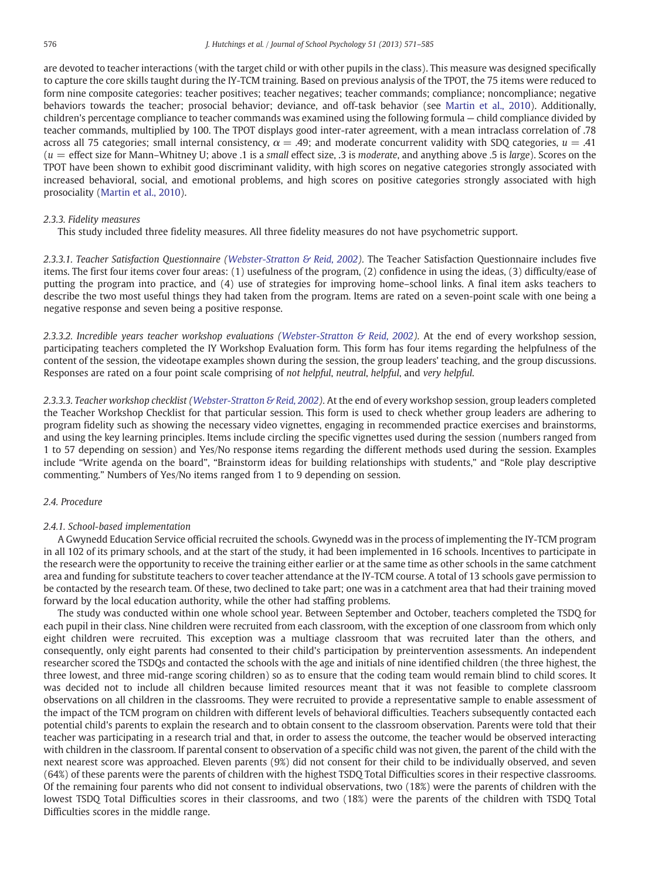<span id="page-5-0"></span>are devoted to teacher interactions (with the target child or with other pupils in the class). This measure was designed specifically to capture the core skills taught during the IY-TCM training. Based on previous analysis of the TPOT, the 75 items were reduced to form nine composite categories: teacher positives; teacher negatives; teacher commands; compliance; noncompliance; negative behaviors towards the teacher; prosocial behavior; deviance, and off-task behavior (see [Martin et al., 2010\)](#page-13-0). Additionally, children's percentage compliance to teacher commands was examined using the following formula — child compliance divided by teacher commands, multiplied by 100. The TPOT displays good inter-rater agreement, with a mean intraclass correlation of .78 across all 75 categories; small internal consistency,  $\alpha = .49$ ; and moderate concurrent validity with SDQ categories,  $u = .41$  $(u =$  effect size for Mann–Whitney U; above .1 is a small effect size, .3 is moderate, and anything above .5 is large). Scores on the TPOT have been shown to exhibit good discriminant validity, with high scores on negative categories strongly associated with increased behavioral, social, and emotional problems, and high scores on positive categories strongly associated with high prosociality [\(Martin et al., 2010](#page-13-0)).

# 2.3.3. Fidelity measures

This study included three fidelity measures. All three fidelity measures do not have psychometric support.

2.3.3.1. Teacher Satisfaction Questionnaire ([Webster-Stratton & Reid, 2002](#page-14-0)). The Teacher Satisfaction Questionnaire includes five items. The first four items cover four areas: (1) usefulness of the program, (2) confidence in using the ideas, (3) difficulty/ease of putting the program into practice, and (4) use of strategies for improving home–school links. A final item asks teachers to describe the two most useful things they had taken from the program. Items are rated on a seven-point scale with one being a negative response and seven being a positive response.

2.3.3.2. Incredible years teacher workshop evaluations ([Webster-Stratton & Reid, 2002\)](#page-14-0). At the end of every workshop session, participating teachers completed the IY Workshop Evaluation form. This form has four items regarding the helpfulness of the content of the session, the videotape examples shown during the session, the group leaders' teaching, and the group discussions. Responses are rated on a four point scale comprising of not helpful, neutral, helpful, and very helpful.

2.3.3.3. Teacher workshop checklist ([Webster-Stratton & Reid, 2002](#page-14-0)). At the end of every workshop session, group leaders completed the Teacher Workshop Checklist for that particular session. This form is used to check whether group leaders are adhering to program fidelity such as showing the necessary video vignettes, engaging in recommended practice exercises and brainstorms, and using the key learning principles. Items include circling the specific vignettes used during the session (numbers ranged from 1 to 57 depending on session) and Yes/No response items regarding the different methods used during the session. Examples include "Write agenda on the board", "Brainstorm ideas for building relationships with students," and "Role play descriptive commenting." Numbers of Yes/No items ranged from 1 to 9 depending on session.

# 2.4. Procedure

### 2.4.1. School-based implementation

A Gwynedd Education Service official recruited the schools. Gwynedd was in the process of implementing the IY-TCM program in all 102 of its primary schools, and at the start of the study, it had been implemented in 16 schools. Incentives to participate in the research were the opportunity to receive the training either earlier or at the same time as other schools in the same catchment area and funding for substitute teachers to cover teacher attendance at the IY-TCM course. A total of 13 schools gave permission to be contacted by the research team. Of these, two declined to take part; one was in a catchment area that had their training moved forward by the local education authority, while the other had staffing problems.

The study was conducted within one whole school year. Between September and October, teachers completed the TSDQ for each pupil in their class. Nine children were recruited from each classroom, with the exception of one classroom from which only eight children were recruited. This exception was a multiage classroom that was recruited later than the others, and consequently, only eight parents had consented to their child's participation by preintervention assessments. An independent researcher scored the TSDQs and contacted the schools with the age and initials of nine identified children (the three highest, the three lowest, and three mid-range scoring children) so as to ensure that the coding team would remain blind to child scores. It was decided not to include all children because limited resources meant that it was not feasible to complete classroom observations on all children in the classrooms. They were recruited to provide a representative sample to enable assessment of the impact of the TCM program on children with different levels of behavioral difficulties. Teachers subsequently contacted each potential child's parents to explain the research and to obtain consent to the classroom observation. Parents were told that their teacher was participating in a research trial and that, in order to assess the outcome, the teacher would be observed interacting with children in the classroom. If parental consent to observation of a specific child was not given, the parent of the child with the next nearest score was approached. Eleven parents (9%) did not consent for their child to be individually observed, and seven (64%) of these parents were the parents of children with the highest TSDQ Total Difficulties scores in their respective classrooms. Of the remaining four parents who did not consent to individual observations, two (18%) were the parents of children with the lowest TSDQ Total Difficulties scores in their classrooms, and two (18%) were the parents of the children with TSDQ Total Difficulties scores in the middle range.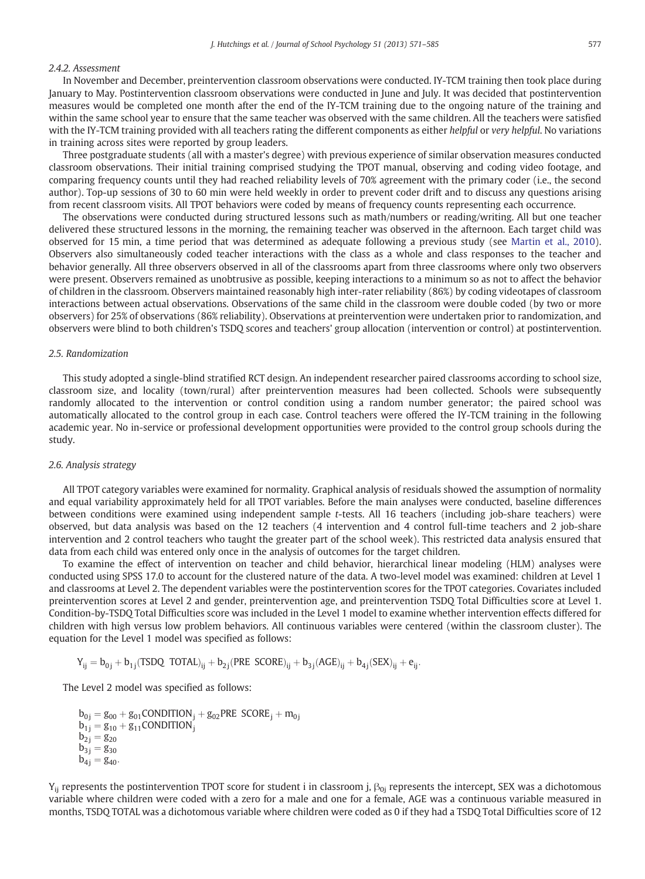# 242 Assessment

In November and December, preintervention classroom observations were conducted. IY-TCM training then took place during January to May. Postintervention classroom observations were conducted in June and July. It was decided that postintervention measures would be completed one month after the end of the IY-TCM training due to the ongoing nature of the training and within the same school year to ensure that the same teacher was observed with the same children. All the teachers were satisfied with the IY-TCM training provided with all teachers rating the different components as either helpful or very helpful. No variations in training across sites were reported by group leaders.

Three postgraduate students (all with a master's degree) with previous experience of similar observation measures conducted classroom observations. Their initial training comprised studying the TPOT manual, observing and coding video footage, and comparing frequency counts until they had reached reliability levels of 70% agreement with the primary coder (i.e., the second author). Top-up sessions of 30 to 60 min were held weekly in order to prevent coder drift and to discuss any questions arising from recent classroom visits. All TPOT behaviors were coded by means of frequency counts representing each occurrence.

The observations were conducted during structured lessons such as math/numbers or reading/writing. All but one teacher delivered these structured lessons in the morning, the remaining teacher was observed in the afternoon. Each target child was observed for 15 min, a time period that was determined as adequate following a previous study (see [Martin et al., 2010](#page-13-0)). Observers also simultaneously coded teacher interactions with the class as a whole and class responses to the teacher and behavior generally. All three observers observed in all of the classrooms apart from three classrooms where only two observers were present. Observers remained as unobtrusive as possible, keeping interactions to a minimum so as not to affect the behavior of children in the classroom. Observers maintained reasonably high inter-rater reliability (86%) by coding videotapes of classroom interactions between actual observations. Observations of the same child in the classroom were double coded (by two or more observers) for 25% of observations (86% reliability). Observations at preintervention were undertaken prior to randomization, and observers were blind to both children's TSDQ scores and teachers' group allocation (intervention or control) at postintervention.

#### 2.5. Randomization

This study adopted a single-blind stratified RCT design. An independent researcher paired classrooms according to school size, classroom size, and locality (town/rural) after preintervention measures had been collected. Schools were subsequently randomly allocated to the intervention or control condition using a random number generator; the paired school was automatically allocated to the control group in each case. Control teachers were offered the IY-TCM training in the following academic year. No in-service or professional development opportunities were provided to the control group schools during the study.

# 2.6. Analysis strategy

All TPOT category variables were examined for normality. Graphical analysis of residuals showed the assumption of normality and equal variability approximately held for all TPOT variables. Before the main analyses were conducted, baseline differences between conditions were examined using independent sample t-tests. All 16 teachers (including job-share teachers) were observed, but data analysis was based on the 12 teachers (4 intervention and 4 control full-time teachers and 2 job-share intervention and 2 control teachers who taught the greater part of the school week). This restricted data analysis ensured that data from each child was entered only once in the analysis of outcomes for the target children.

To examine the effect of intervention on teacher and child behavior, hierarchical linear modeling (HLM) analyses were conducted using SPSS 17.0 to account for the clustered nature of the data. A two-level model was examined: children at Level 1 and classrooms at Level 2. The dependent variables were the postintervention scores for the TPOT categories. Covariates included preintervention scores at Level 2 and gender, preintervention age, and preintervention TSDQ Total Difficulties score at Level 1. Condition-by-TSDQ Total Difficulties score was included in the Level 1 model to examine whether intervention effects differed for children with high versus low problem behaviors. All continuous variables were centered (within the classroom cluster). The equation for the Level 1 model was specified as follows:

 $Y_{ij} = b_{0j} + b_{1j} (TSDQ TOTAL)_{ij} + b_{2j} (PRE SCORE)_{ij} + b_{3j} (AGE)_{ij} + b_{4j} (SEX)_{ij} + e_{ij}$ .

The Level 2 model was specified as follows:

 $b_{0j} = g_{00} + g_{01}$ CONDITION<sub>i</sub> +  $g_{02}$ PRE SCORE<sub>i</sub> + m<sub>0</sub> j  $b_{1j} = g_{10} + g_{11}$ CONDITION<sub>j</sub>  $b_{2j} = g_{20}$  $b_{3j} = g_{30}$  $b_{4j} = g_{40}.$ 

 $Y_{ij}$  represents the postintervention TPOT score for student i in classroom j,  $β_{0j}$  represents the intercept, SEX was a dichotomous variable where children were coded with a zero for a male and one for a female, AGE was a continuous variable measured in months, TSDQ TOTAL was a dichotomous variable where children were coded as 0 if they had a TSDQ Total Difficulties score of 12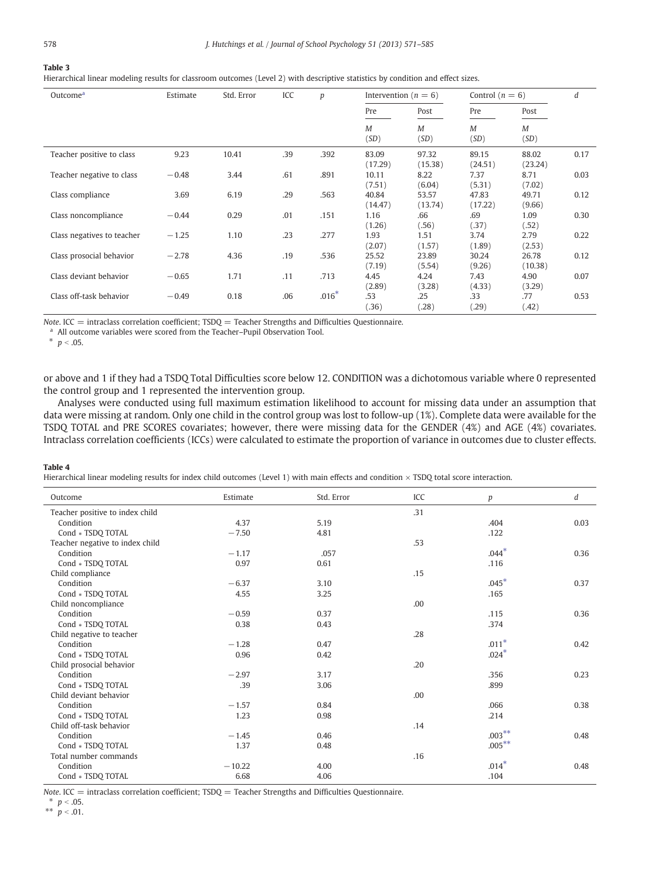# <span id="page-7-0"></span>Table 3

Hierarchical linear modeling results for classroom outcomes (Level 2) with descriptive statistics by condition and effect sizes.

| Outcome <sup>a</sup>       | Estimate | Std. Error | ICC | p       | Intervention ( $n = 6$ ) |                  | Control $(n = 6)$ |                          | d    |  |
|----------------------------|----------|------------|-----|---------|--------------------------|------------------|-------------------|--------------------------|------|--|
|                            |          |            |     |         | Pre                      | Post             | Pre               | Post                     |      |  |
|                            |          |            |     |         | M<br>(SD)                | M<br>(SD)        | M<br>(SD)         | $\boldsymbol{M}$<br>(SD) |      |  |
| Teacher positive to class  | 9.23     | 10.41      | .39 | .392    | 83.09<br>(17.29)         | 97.32<br>(15.38) | 89.15<br>(24.51)  | 88.02<br>(23.24)         | 0.17 |  |
| Teacher negative to class  | $-0.48$  | 3.44       | .61 | .891    | 10.11<br>(7.51)          | 8.22<br>(6.04)   | 7.37<br>(5.31)    | 8.71<br>(7.02)           | 0.03 |  |
| Class compliance           | 3.69     | 6.19       | .29 | .563    | 40.84<br>(14.47)         | 53.57<br>(13.74) | 47.83<br>(17.22)  | 49.71<br>(9.66)          | 0.12 |  |
| Class noncompliance        | $-0.44$  | 0.29       | .01 | .151    | 1.16<br>(1.26)           | .66<br>(.56)     | .69<br>(.37)      | 1.09<br>(.52)            | 0.30 |  |
| Class negatives to teacher | $-1.25$  | 1.10       | .23 | .277    | 1.93<br>(2.07)           | 1.51<br>(1.57)   | 3.74<br>(1.89)    | 2.79<br>(2.53)           | 0.22 |  |
| Class prosocial behavior   | $-2.78$  | 4.36       | .19 | .536    | 25.52<br>(7.19)          | 23.89<br>(5.54)  | 30.24<br>(9.26)   | 26.78<br>(10.38)         | 0.12 |  |
| Class deviant behavior     | $-0.65$  | 1.71       | .11 | .713    | 4.45<br>(2.89)           | 4.24<br>(3.28)   | 7.43<br>(4.33)    | 4.90<br>(3.29)           | 0.07 |  |
| Class off-task behavior    | $-0.49$  | 0.18       | .06 | $.016*$ | .53<br>(.36)             | .25<br>(.28)     | .33<br>(29)       | .77<br>(.42)             | 0.53 |  |

Note. ICC  $=$  intraclass correlation coefficient; TSDQ  $=$  Teacher Strengths and Difficulties Questionnaire.

<sup>a</sup> All outcome variables were scored from the Teacher–Pupil Observation Tool.

\*  $p < .05$ .

or above and 1 if they had a TSDQ Total Difficulties score below 12. CONDITION was a dichotomous variable where 0 represented the control group and 1 represented the intervention group.

Analyses were conducted using full maximum estimation likelihood to account for missing data under an assumption that data were missing at random. Only one child in the control group was lost to follow-up (1%). Complete data were available for the TSDQ TOTAL and PRE SCORES covariates; however, there were missing data for the GENDER (4%) and AGE (4%) covariates. Intraclass correlation coefficients (ICCs) were calculated to estimate the proportion of variance in outcomes due to cluster effects.

#### Table 4

Hierarchical linear modeling results for index child outcomes (Level 1) with main effects and condition  $\times$  TSDQ total score interaction.

| Outcome                         | Estimate | Std. Error | ICC | p         | d    |
|---------------------------------|----------|------------|-----|-----------|------|
| Teacher positive to index child |          |            | .31 |           |      |
| Condition                       | 4.37     | 5.19       |     | .404      | 0.03 |
| Cond * TSDQ TOTAL               | $-7.50$  | 4.81       |     | .122      |      |
| Teacher negative to index child |          |            | .53 |           |      |
| Condition                       | $-1.17$  | .057       |     | $.044*$   | 0.36 |
| Cond * TSDQ TOTAL               | 0.97     | 0.61       |     | .116      |      |
| Child compliance                |          |            | .15 |           |      |
| Condition                       | $-6.37$  | 3.10       |     | $.045*$   | 0.37 |
| Cond * TSDQ TOTAL               | 4.55     | 3.25       |     | .165      |      |
| Child noncompliance             |          |            | .00 |           |      |
| Condition                       | $-0.59$  | 0.37       |     | .115      | 0.36 |
| Cond * TSDQ TOTAL               | 0.38     | 0.43       |     | .374      |      |
| Child negative to teacher       |          |            | .28 |           |      |
| Condition                       | $-1.28$  | 0.47       |     | $.011*$   | 0.42 |
| Cond * TSDO TOTAL               | 0.96     | 0.42       |     | $.024*$   |      |
| Child prosocial behavior        |          |            | .20 |           |      |
| Condition                       | $-2.97$  | 3.17       |     | .356      | 0.23 |
| Cond * TSDO TOTAL               | .39      | 3.06       |     | .899      |      |
| Child deviant behavior          |          |            | .00 |           |      |
| Condition                       | $-1.57$  | 0.84       |     | .066      | 0.38 |
| Cond * TSDQ TOTAL               | 1.23     | 0.98       |     | .214      |      |
| Child off-task behavior         |          |            | .14 |           |      |
| Condition                       | $-1.45$  | 0.46       |     | $.003***$ | 0.48 |
| Cond * TSDO TOTAL               | 1.37     | 0.48       |     | $.005***$ |      |
| Total number commands           |          |            | .16 |           |      |
| Condition                       | $-10.22$ | 4.00       |     | $.014*$   | 0.48 |
| Cond * TSDO TOTAL               | 6.68     | 4.06       |     | .104      |      |

Note. ICC = intraclass correlation coefficient; TSDQ = Teacher Strengths and Difficulties Questionnaire.

\*  $p < .05$ .

\*\*  $p < .01$ .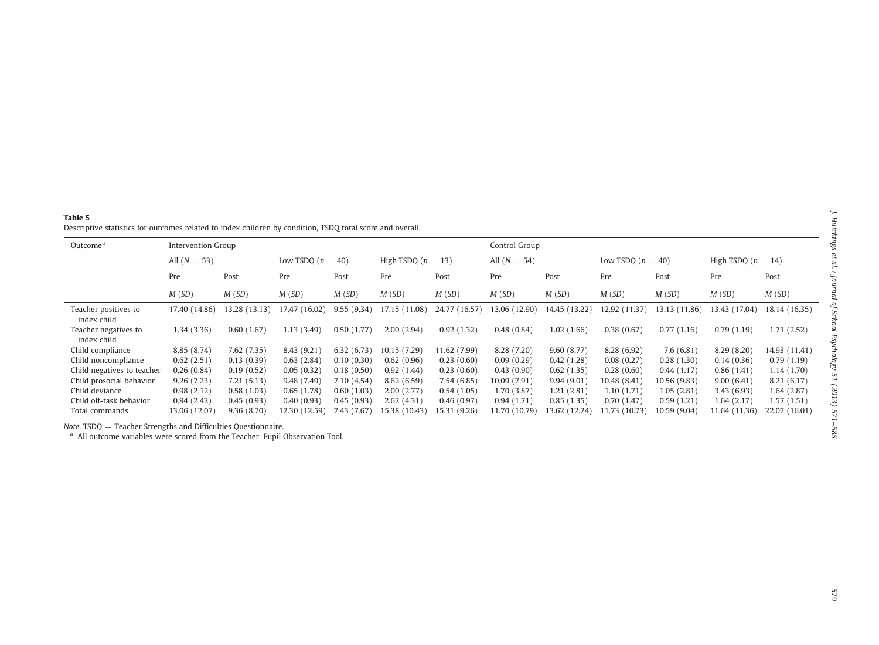$\overline{\phantom{0}}$ 

# <span id="page-8-0"></span>Table 5Descriptive statistics for outcomes related to index children by condition, TSDQ total score and overall.

| Outcome <sup>a</sup>                | Intervention Group |               |                     |             |                      | Control Group |                |               |                     |               |                      |               |
|-------------------------------------|--------------------|---------------|---------------------|-------------|----------------------|---------------|----------------|---------------|---------------------|---------------|----------------------|---------------|
| All $(N = 53)$                      |                    |               | Low TSDQ $(n = 40)$ |             | High TSDQ $(n = 13)$ |               | All $(N = 54)$ |               | Low TSDQ $(n = 40)$ |               | High TSDQ $(n = 14)$ |               |
|                                     | Pre                | Post          | Pre                 | Post        | Pre                  | Post          | Pre            | Post          | Pre                 | Post          | Pre                  | Post          |
|                                     | M(SD)              | M(SD)         | M(SD)               | M(SD)       | M(SD)                | M(SD)         | M(SD)          | M(SD)         | M(SD)               | M(SD)         | M(SD)                | M(SD)         |
| Teacher positives to<br>index child | 17.40 (14.86)      | 13.28 (13.13) | (16.02)<br>17.47    | 9.55(9.34)  | 17.15 (11.08)        | 24.77 (16.57) | 13.06 (12.90)  | 14.45 (13.22) | 12.92 (11.37)       | 13.13 (11.86) | 13.43 (17.04)        | 18.14 (16.35) |
| Teacher negatives to<br>index child | 1.34(3.36)         | 0.60(1.67)    | 1.13(3.49)          | 0.50(1.77)  | 2.00(2.94)           | 0.92(1.32)    | 0.48(0.84)     | 1.02(1.66)    | 0.38(0.67)          | 0.77(1.16)    | 0.79(1.19)           | 1.71(2.52)    |
| Child compliance                    | 8.85 (8.74)        | 7.62(7.35)    | 8.43(9.21)          | 6.32(6.73)  | 10.15 (7.29)         | 11.62 (7.99)  | 8.28 (7.20)    | 9.60(8.77)    | 8.28 (6.92)         | 7.6(6.81)     | 8.29(8.20)           | 14.93 (11.41) |
| Child noncompliance                 | 0.62(2.51)         | 0.13(0.39)    | 0.63(2.84)          | 0.10(0.30)  | 0.62(0.96)           | 0.23(0.60)    | 0.09(0.29)     | 0.42(1.28)    | 0.08(0.27)          | 0.28(1.30)    | 0.14(0.36)           | 0.79(1.19)    |
| Child negatives to teacher          | 0.26(0.84)         | 0.19(0.52)    | 0.05(0.32)          | 0.18(0.50)  | 0.92(1.44)           | 0.23(0.60)    | 0.43(0.90)     | 0.62(1.35)    | 0.28(0.60)          | 0.44(1.17)    | 0.86(1.41)           | 1.14(1.70)    |
| Child prosocial behavior            | 9.26(7.23)         | 7.21(5.13)    | 9.48(7.49)          | 7.10(4.54)  | 8.62(6.59)           | 7.54(6.85)    | 10.09 (7.91)   | 9.94(9.01)    | 10.48 (8.41)        | 10.56 (9.83)  | 9.00(6.41)           | 8.21(6.17)    |
| Child deviance                      | 0.98(2.12)         | 0.58(1.03)    | 0.65(1.78)          | 0.60(1.03)  | 2.00(2.77)           | 0.54(1.05)    | 1.70(3.87)     | 1.21(2.81)    | 1.10 (1.71)         | 1.05(2.81)    | 3.43(6.93)           | 1.64 (2.87)   |
| Child off-task behavior             | 0.94(2.42)         | 0.45(0.93)    | 0.40(0.93)          | 0.45(0.93)  | 2.62(4.31)           | 0.46(0.97)    | 0.94(1.71)     | 0.85(1.35)    | 0.70(1.47)          | 0.59(1.21)    | 1.64(2.17)           | 1.57(1.51)    |
| Total commands                      | 13.06 (12.07)      | 9.36(8.70)    | 12.30 (12.59)       | 7.43 (7.67) | 15.38 (10.43)        | 15.31 (9.26)  | 11.70 (10.79)  | 13.62 (12.24) | 11.73 (10.73)       | 10.59 (9.04)  | 11.64 (11.36)        | 22.07 (16.01) |

Note. TSDQ <sup>=</sup> Teacher Strengths and Difficulties Questionnaire.

<sup>a</sup> All outcome variables were scored from the Teacher–Pupil Observation Tool.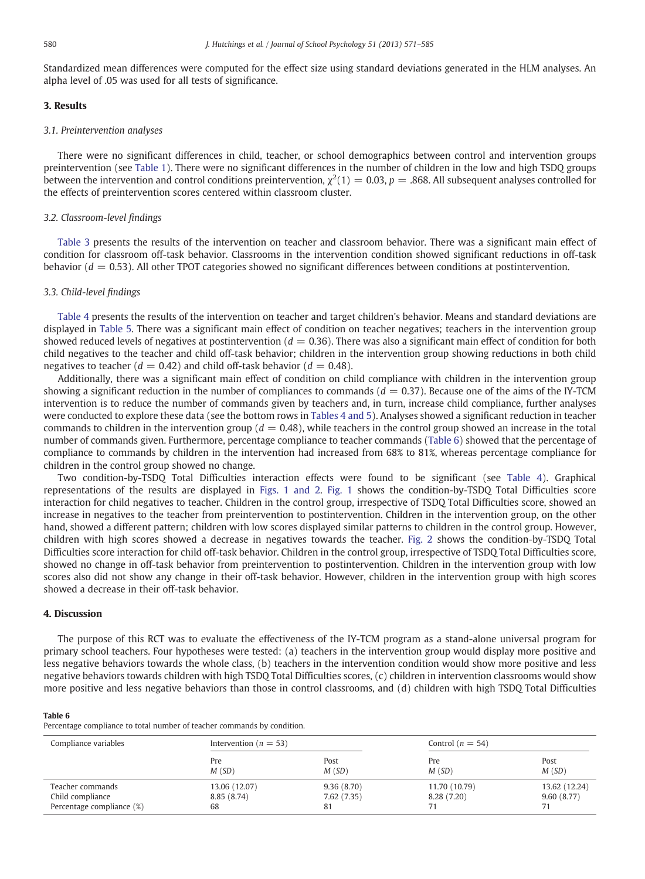Standardized mean differences were computed for the effect size using standard deviations generated in the HLM analyses. An alpha level of .05 was used for all tests of significance.

# 3. Results

# 3.1. Preintervention analyses

There were no significant differences in child, teacher, or school demographics between control and intervention groups preintervention (see [Table 1](#page-3-0)). There were no significant differences in the number of children in the low and high TSDQ groups between the intervention and control conditions preintervention,  $\chi^2(1)=0.03$ ,  $p=.868$ . All subsequent analyses controlled for the effects of preintervention scores centered within classroom cluster.

# 3.2. Classroom-level findings

[Table 3](#page-7-0) presents the results of the intervention on teacher and classroom behavior. There was a significant main effect of condition for classroom off-task behavior. Classrooms in the intervention condition showed significant reductions in off-task behavior ( $d = 0.53$ ). All other TPOT categories showed no significant differences between conditions at postintervention.

#### 3.3. Child-level findings

[Table 4](#page-7-0) presents the results of the intervention on teacher and target children's behavior. Means and standard deviations are displayed in [Table 5](#page-8-0). There was a significant main effect of condition on teacher negatives; teachers in the intervention group showed reduced levels of negatives at postintervention ( $d = 0.36$ ). There was also a significant main effect of condition for both child negatives to the teacher and child off-task behavior; children in the intervention group showing reductions in both child negatives to teacher ( $d = 0.42$ ) and child off-task behavior ( $d = 0.48$ ).

Additionally, there was a significant main effect of condition on child compliance with children in the intervention group showing a significant reduction in the number of compliances to commands  $(d = 0.37)$ . Because one of the aims of the IY-TCM intervention is to reduce the number of commands given by teachers and, in turn, increase child compliance, further analyses were conducted to explore these data (see the bottom rows in [Tables 4 and 5\)](#page-7-0). Analyses showed a significant reduction in teacher commands to children in the intervention group ( $d = 0.48$ ), while teachers in the control group showed an increase in the total number of commands given. Furthermore, percentage compliance to teacher commands (Table 6) showed that the percentage of compliance to commands by children in the intervention had increased from 68% to 81%, whereas percentage compliance for children in the control group showed no change.

Two condition-by-TSDQ Total Difficulties interaction effects were found to be significant (see [Table 4\)](#page-7-0). Graphical representations of the results are displayed in [Figs. 1 and 2](#page-10-0). [Fig. 1](#page-10-0) shows the condition-by-TSDQ Total Difficulties score interaction for child negatives to teacher. Children in the control group, irrespective of TSDQ Total Difficulties score, showed an increase in negatives to the teacher from preintervention to postintervention. Children in the intervention group, on the other hand, showed a different pattern; children with low scores displayed similar patterns to children in the control group. However, children with high scores showed a decrease in negatives towards the teacher. [Fig. 2](#page-10-0) shows the condition-by-TSDQ Total Difficulties score interaction for child off-task behavior. Children in the control group, irrespective of TSDQ Total Difficulties score, showed no change in off-task behavior from preintervention to postintervention. Children in the intervention group with low scores also did not show any change in their off-task behavior. However, children in the intervention group with high scores showed a decrease in their off-task behavior.

# 4. Discussion

The purpose of this RCT was to evaluate the effectiveness of the IY-TCM program as a stand-alone universal program for primary school teachers. Four hypotheses were tested: (a) teachers in the intervention group would display more positive and less negative behaviors towards the whole class, (b) teachers in the intervention condition would show more positive and less negative behaviors towards children with high TSDQ Total Difficulties scores, (c) children in intervention classrooms would show more positive and less negative behaviors than those in control classrooms, and (d) children with high TSDQ Total Difficulties

#### Table 6

Percentage compliance to total number of teacher commands by condition.

| Compliance variables                                              | Intervention ( $n = 53$ )         |                                | Control $(n = 54)$           |                                   |  |  |
|-------------------------------------------------------------------|-----------------------------------|--------------------------------|------------------------------|-----------------------------------|--|--|
|                                                                   | Pre<br>M(SD)                      | Post<br>M(SD)                  | Pre<br>M(SD)                 | Post<br>M(SD)                     |  |  |
| Teacher commands<br>Child compliance<br>Percentage compliance (%) | 13.06 (12.07)<br>8.85(8.74)<br>68 | 9.36(8.70)<br>7.62(7.35)<br>81 | 11.70 (10.79)<br>8.28 (7.20) | 13.62 (12.24)<br>9.60(8.77)<br>71 |  |  |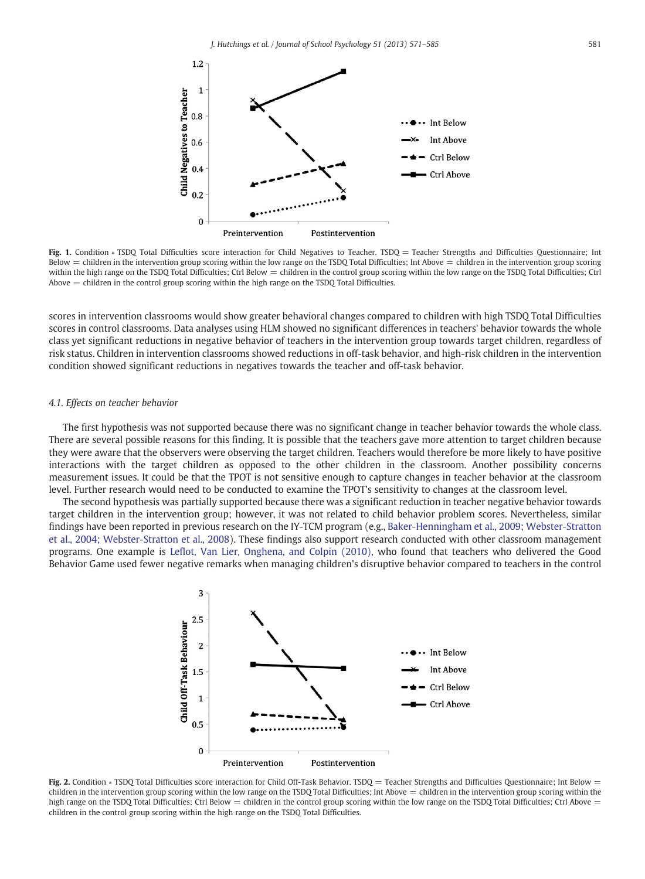<span id="page-10-0"></span>

Fig. 1. Condition ∗ TSDQ Total Difficulties score interaction for Child Negatives to Teacher. TSDQ = Teacher Strengths and Difficulties Questionnaire; Int Below = children in the intervention group scoring within the low range on the TSDQ Total Difficulties; Int Above = children in the intervention group scoring within the high range on the TSDO Total Difficulties; Ctrl Below = children in the control group scoring within the low range on the TSDO Total Difficulties; Ctrl Above  $=$  children in the control group scoring within the high range on the TSDQ Total Difficulties.

scores in intervention classrooms would show greater behavioral changes compared to children with high TSDQ Total Difficulties scores in control classrooms. Data analyses using HLM showed no significant differences in teachers' behavior towards the whole class yet significant reductions in negative behavior of teachers in the intervention group towards target children, regardless of risk status. Children in intervention classrooms showed reductions in off-task behavior, and high-risk children in the intervention condition showed significant reductions in negatives towards the teacher and off-task behavior.

# 4.1. Effects on teacher behavior

The first hypothesis was not supported because there was no significant change in teacher behavior towards the whole class. There are several possible reasons for this finding. It is possible that the teachers gave more attention to target children because they were aware that the observers were observing the target children. Teachers would therefore be more likely to have positive interactions with the target children as opposed to the other children in the classroom. Another possibility concerns measurement issues. It could be that the TPOT is not sensitive enough to capture changes in teacher behavior at the classroom level. Further research would need to be conducted to examine the TPOT's sensitivity to changes at the classroom level.

The second hypothesis was partially supported because there was a significant reduction in teacher negative behavior towards target children in the intervention group; however, it was not related to child behavior problem scores. Nevertheless, similar findings have been reported in previous research on the IY-TCM program (e.g., [Baker-Henningham et al., 2009; Webster-Stratton](#page-13-0) [et al., 2004; Webster-Stratton et al., 2008\)](#page-13-0). These findings also support research conducted with other classroom management programs. One example is [Leflot, Van Lier, Onghena, and Colpin \(2010\)](#page-13-0), who found that teachers who delivered the Good Behavior Game used fewer negative remarks when managing children's disruptive behavior compared to teachers in the control



Fig. 2. Condition ∗ TSDQ Total Difficulties score interaction for Child Off-Task Behavior. TSDQ = Teacher Strengths and Difficulties Questionnaire; Int Below = children in the intervention group scoring within the low range on the TSDO Total Difficulties: Int Above  $=$  children in the intervention group scoring within the high range on the TSDQ Total Difficulties; Ctrl Below = children in the control group scoring within the low range on the TSDQ Total Difficulties; Ctrl Above = children in the control group scoring within the high range on the TSDQ Total Difficulties.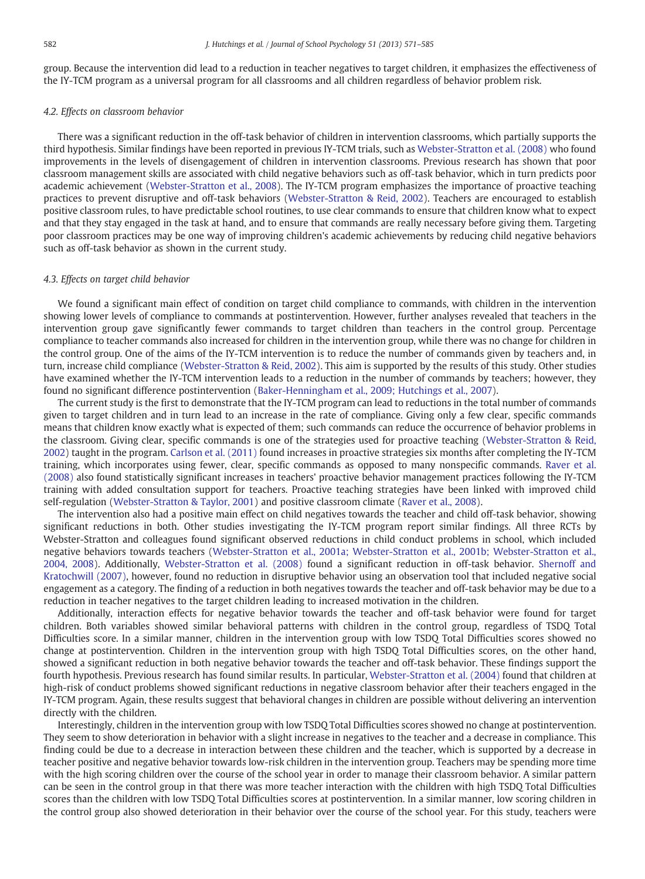group. Because the intervention did lead to a reduction in teacher negatives to target children, it emphasizes the effectiveness of the IY-TCM program as a universal program for all classrooms and all children regardless of behavior problem risk.

# 4.2. Effects on classroom behavior

There was a significant reduction in the off-task behavior of children in intervention classrooms, which partially supports the third hypothesis. Similar findings have been reported in previous IY-TCM trials, such as [Webster-Stratton et al. \(2008\)](#page-14-0) who found improvements in the levels of disengagement of children in intervention classrooms. Previous research has shown that poor classroom management skills are associated with child negative behaviors such as off-task behavior, which in turn predicts poor academic achievement ([Webster-Stratton et al., 2008\)](#page-14-0). The IY-TCM program emphasizes the importance of proactive teaching practices to prevent disruptive and off-task behaviors [\(Webster-Stratton & Reid, 2002](#page-14-0)). Teachers are encouraged to establish positive classroom rules, to have predictable school routines, to use clear commands to ensure that children know what to expect and that they stay engaged in the task at hand, and to ensure that commands are really necessary before giving them. Targeting poor classroom practices may be one way of improving children's academic achievements by reducing child negative behaviors such as off-task behavior as shown in the current study.

# 4.3. Effects on target child behavior

We found a significant main effect of condition on target child compliance to commands, with children in the intervention showing lower levels of compliance to commands at postintervention. However, further analyses revealed that teachers in the intervention group gave significantly fewer commands to target children than teachers in the control group. Percentage compliance to teacher commands also increased for children in the intervention group, while there was no change for children in the control group. One of the aims of the IY-TCM intervention is to reduce the number of commands given by teachers and, in turn, increase child compliance ([Webster-Stratton & Reid, 2002\)](#page-14-0). This aim is supported by the results of this study. Other studies have examined whether the IY-TCM intervention leads to a reduction in the number of commands by teachers; however, they found no significant difference postintervention ([Baker-Henningham et al., 2009; Hutchings et al., 2007](#page-13-0)).

The current study is the first to demonstrate that the IY-TCM program can lead to reductions in the total number of commands given to target children and in turn lead to an increase in the rate of compliance. Giving only a few clear, specific commands means that children know exactly what is expected of them; such commands can reduce the occurrence of behavior problems in the classroom. Giving clear, specific commands is one of the strategies used for proactive teaching [\(Webster-Stratton & Reid,](#page-14-0) [2002](#page-14-0)) taught in the program. [Carlson et al. \(2011\)](#page-13-0) found increases in proactive strategies six months after completing the IY-TCM training, which incorporates using fewer, clear, specific commands as opposed to many nonspecific commands. [Raver et al.](#page-14-0) [\(2008\)](#page-14-0) also found statistically significant increases in teachers' proactive behavior management practices following the IY-TCM training with added consultation support for teachers. Proactive teaching strategies have been linked with improved child self-regulation ([Webster-Stratton & Taylor, 2001\)](#page-14-0) and positive classroom climate [\(Raver et al., 2008](#page-14-0)).

The intervention also had a positive main effect on child negatives towards the teacher and child off-task behavior, showing significant reductions in both. Other studies investigating the IY-TCM program report similar findings. All three RCTs by Webster-Stratton and colleagues found significant observed reductions in child conduct problems in school, which included negative behaviors towards teachers ([Webster-Stratton et al., 2001a; Webster-Stratton et al., 2001b; Webster-Stratton et al.,](#page-14-0) [2004, 2008](#page-14-0)). Additionally, [Webster-Stratton et al. \(2008\)](#page-14-0) found a significant reduction in off-task behavior. [Shernoff and](#page-14-0) [Kratochwill \(2007\),](#page-14-0) however, found no reduction in disruptive behavior using an observation tool that included negative social engagement as a category. The finding of a reduction in both negatives towards the teacher and off-task behavior may be due to a reduction in teacher negatives to the target children leading to increased motivation in the children.

Additionally, interaction effects for negative behavior towards the teacher and off-task behavior were found for target children. Both variables showed similar behavioral patterns with children in the control group, regardless of TSDQ Total Difficulties score. In a similar manner, children in the intervention group with low TSDQ Total Difficulties scores showed no change at postintervention. Children in the intervention group with high TSDQ Total Difficulties scores, on the other hand, showed a significant reduction in both negative behavior towards the teacher and off-task behavior. These findings support the fourth hypothesis. Previous research has found similar results. In particular, [Webster-Stratton et al. \(2004\)](#page-14-0) found that children at high-risk of conduct problems showed significant reductions in negative classroom behavior after their teachers engaged in the IY-TCM program. Again, these results suggest that behavioral changes in children are possible without delivering an intervention directly with the children.

Interestingly, children in the intervention group with low TSDQ Total Difficulties scores showed no change at postintervention. They seem to show deterioration in behavior with a slight increase in negatives to the teacher and a decrease in compliance. This finding could be due to a decrease in interaction between these children and the teacher, which is supported by a decrease in teacher positive and negative behavior towards low-risk children in the intervention group. Teachers may be spending more time with the high scoring children over the course of the school year in order to manage their classroom behavior. A similar pattern can be seen in the control group in that there was more teacher interaction with the children with high TSDQ Total Difficulties scores than the children with low TSDQ Total Difficulties scores at postintervention. In a similar manner, low scoring children in the control group also showed deterioration in their behavior over the course of the school year. For this study, teachers were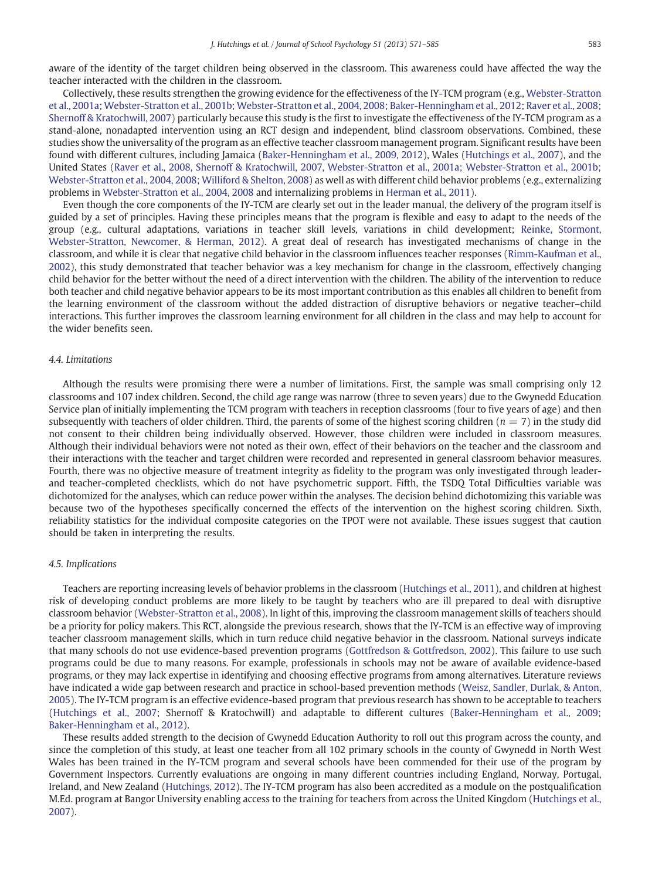aware of the identity of the target children being observed in the classroom. This awareness could have affected the way the teacher interacted with the children in the classroom.

Collectively, these results strengthen the growing evidence for the effectiveness of the IY-TCM program (e.g., [Webster-Stratton](#page-14-0) [et al., 2001a; Webster-Stratton et al., 2001b; Webster-Stratton et al., 2004, 2008; Baker-Henningham et al., 2012; Raver et al., 2008;](#page-14-0) [Shernoff & Kratochwill, 2007\)](#page-14-0) particularly because this study is the first to investigate the effectiveness of the IY-TCM program as a stand-alone, nonadapted intervention using an RCT design and independent, blind classroom observations. Combined, these studies show the universality of the program as an effective teacher classroom management program. Significant results have been found with different cultures, including Jamaica [\(Baker-Henningham et al., 2009, 2012\)](#page-13-0), Wales ([Hutchings et al., 2007](#page-13-0)), and the United States [\(Raver et al., 2008, Shernoff & Kratochwill, 2007, Webster-Stratton et al., 2001a; Webster-Stratton et al., 2001b;](#page-14-0) [Webster-Stratton et al., 2004, 2008; Williford & Shelton, 2008\)](#page-14-0) as well as with different child behavior problems (e.g., externalizing problems in [Webster-Stratton et al., 2004, 2008](#page-14-0) and internalizing problems in [Herman et al., 2011](#page-13-0)).

Even though the core components of the IY-TCM are clearly set out in the leader manual, the delivery of the program itself is guided by a set of principles. Having these principles means that the program is flexible and easy to adapt to the needs of the group (e.g., cultural adaptations, variations in teacher skill levels, variations in child development; [Reinke, Stormont,](#page-14-0) [Webster-Stratton, Newcomer, & Herman, 2012\)](#page-14-0). A great deal of research has investigated mechanisms of change in the classroom, and while it is clear that negative child behavior in the classroom influences teacher responses ([Rimm-Kaufman et al.,](#page-14-0) [2002](#page-14-0)), this study demonstrated that teacher behavior was a key mechanism for change in the classroom, effectively changing child behavior for the better without the need of a direct intervention with the children. The ability of the intervention to reduce both teacher and child negative behavior appears to be its most important contribution as this enables all children to benefit from the learning environment of the classroom without the added distraction of disruptive behaviors or negative teacher–child interactions. This further improves the classroom learning environment for all children in the class and may help to account for the wider benefits seen.

# 4.4. Limitations

Although the results were promising there were a number of limitations. First, the sample was small comprising only 12 classrooms and 107 index children. Second, the child age range was narrow (three to seven years) due to the Gwynedd Education Service plan of initially implementing the TCM program with teachers in reception classrooms (four to five years of age) and then subsequently with teachers of older children. Third, the parents of some of the highest scoring children ( $n = 7$ ) in the study did not consent to their children being individually observed. However, those children were included in classroom measures. Although their individual behaviors were not noted as their own, effect of their behaviors on the teacher and the classroom and their interactions with the teacher and target children were recorded and represented in general classroom behavior measures. Fourth, there was no objective measure of treatment integrity as fidelity to the program was only investigated through leaderand teacher-completed checklists, which do not have psychometric support. Fifth, the TSDQ Total Difficulties variable was dichotomized for the analyses, which can reduce power within the analyses. The decision behind dichotomizing this variable was because two of the hypotheses specifically concerned the effects of the intervention on the highest scoring children. Sixth, reliability statistics for the individual composite categories on the TPOT were not available. These issues suggest that caution should be taken in interpreting the results.

#### 4.5. Implications

Teachers are reporting increasing levels of behavior problems in the classroom [\(Hutchings et al., 2011\)](#page-13-0), and children at highest risk of developing conduct problems are more likely to be taught by teachers who are ill prepared to deal with disruptive classroom behavior ([Webster-Stratton et al., 2008\)](#page-14-0). In light of this, improving the classroom management skills of teachers should be a priority for policy makers. This RCT, alongside the previous research, shows that the IY-TCM is an effective way of improving teacher classroom management skills, which in turn reduce child negative behavior in the classroom. National surveys indicate that many schools do not use evidence-based prevention programs ([Gottfredson & Gottfredson, 2002](#page-13-0)). This failure to use such programs could be due to many reasons. For example, professionals in schools may not be aware of available evidence-based programs, or they may lack expertise in identifying and choosing effective programs from among alternatives. Literature reviews have indicated a wide gap between research and practice in school-based prevention methods ([Weisz, Sandler, Durlak, & Anton,](#page-14-0) [2005](#page-14-0)). The IY-TCM program is an effective evidence-based program that previous research has shown to be acceptable to teachers ([Hutchings et al., 2007](#page-13-0); Shernoff & Kratochwill) and adaptable to different cultures [\(Baker-Henningham et al., 2009;](#page-13-0) [Baker-Henningham et al., 2012\)](#page-13-0).

These results added strength to the decision of Gwynedd Education Authority to roll out this program across the county, and since the completion of this study, at least one teacher from all 102 primary schools in the county of Gwynedd in North West Wales has been trained in the IY-TCM program and several schools have been commended for their use of the program by Government Inspectors. Currently evaluations are ongoing in many different countries including England, Norway, Portugal, Ireland, and New Zealand ([Hutchings, 2012](#page-13-0)). The IY-TCM program has also been accredited as a module on the postqualification M.Ed. program at Bangor University enabling access to the training for teachers from across the United Kingdom ([Hutchings et al.,](#page-13-0) [2007](#page-13-0)).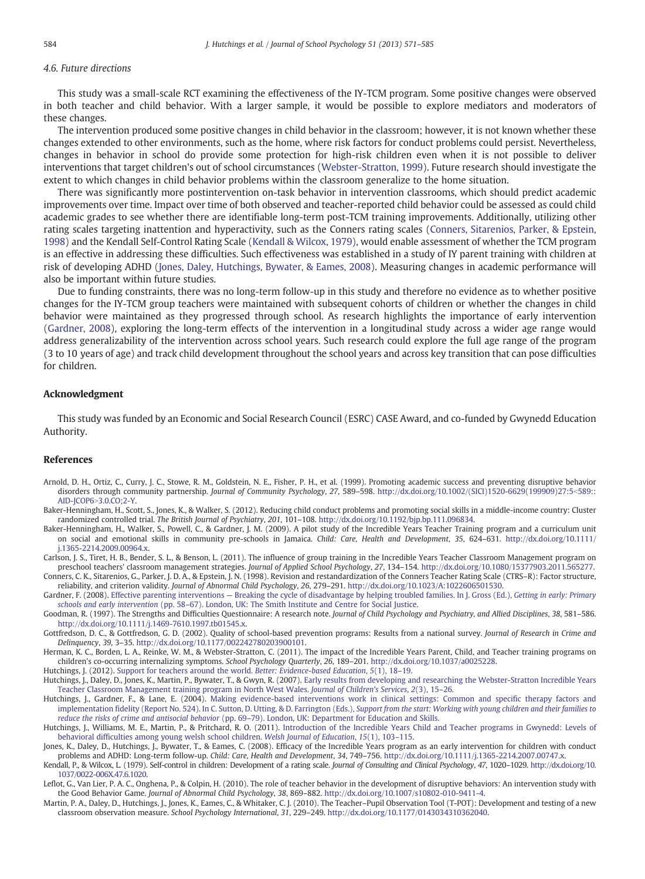# <span id="page-13-0"></span>4.6. Future directions

This study was a small-scale RCT examining the effectiveness of the IY-TCM program. Some positive changes were observed in both teacher and child behavior. With a larger sample, it would be possible to explore mediators and moderators of these changes.

The intervention produced some positive changes in child behavior in the classroom; however, it is not known whether these changes extended to other environments, such as the home, where risk factors for conduct problems could persist. Nevertheless, changes in behavior in school do provide some protection for high-risk children even when it is not possible to deliver interventions that target children's out of school circumstances [\(Webster-Stratton, 1999\)](#page-14-0). Future research should investigate the extent to which changes in child behavior problems within the classroom generalize to the home situation.

There was significantly more postintervention on-task behavior in intervention classrooms, which should predict academic improvements over time. Impact over time of both observed and teacher-reported child behavior could be assessed as could child academic grades to see whether there are identifiable long-term post-TCM training improvements. Additionally, utilizing other rating scales targeting inattention and hyperactivity, such as the Conners rating scales (Conners, Sitarenios, Parker, & Epstein, 1998) and the Kendall Self-Control Rating Scale (Kendall & Wilcox, 1979), would enable assessment of whether the TCM program is an effective in addressing these difficulties. Such effectiveness was established in a study of IY parent training with children at risk of developing ADHD (Jones, Daley, Hutchings, Bywater, & Eames, 2008). Measuring changes in academic performance will also be important within future studies.

Due to funding constraints, there was no long-term follow-up in this study and therefore no evidence as to whether positive changes for the IY-TCM group teachers were maintained with subsequent cohorts of children or whether the changes in child behavior were maintained as they progressed through school. As research highlights the importance of early intervention (Gardner, 2008), exploring the long-term effects of the intervention in a longitudinal study across a wider age range would address generalizability of the intervention across school years. Such research could explore the full age range of the program (3 to 10 years of age) and track child development throughout the school years and across key transition that can pose difficulties for children.

# Acknowledgment

This study was funded by an Economic and Social Research Council (ESRC) CASE Award, and co-funded by Gwynedd Education Authority.

### References

- Arnold, D. H., Ortiz, C., Curry, J. C., Stowe, R. M., Goldstein, N. E., Fisher, P. H., et al. (1999). Promoting academic success and preventing disruptive behavior disorders through community partnership. Journal of Community Psychology, 27, 589-598. http://dx.doi.org[/10.1002/\(SICI\)1520-6629\(199909\)27:5](http://dx.doi.org/10.1002/(SICI)1520-6629(199909)27:5<589::AID-JCOP6>/;3.0.CO;2-Y)<[589::](http://dx.doi.org/10.1002/(SICI)1520-6629(199909)27:5<589::AID-JCOP6>/;3.0.CO;2-Y)  $AID-ICOP6>3.0.CO·2-Y$
- Baker-Henningham, H., Scott, S., Jones, K., & Walker, S. (2012). Reducing child conduct problems and promoting social skills in a middle-income country: Cluster randomized controlled trial. The British Journal of Psychiatry, 201, 101–108. http://dx.doi.org/[10.1192/bjp.bp.111.096834](http://dx.doi.org/10.1192/bjp.bp.111.096834).
- Baker-Henningham, H., Walker, S., Powell, C., & Gardner, J. M. (2009). A pilot study of the Incredible Years Teacher Training program and a curriculum unit on social and emotional skills in community pre-schools in Jamaica. Child: Care, Health and Development, 35, 624-631. http://dx.doi.org[/10.1111/](http://dx.doi.org/10.1111/j.1365-2214.2009.00964.x) [j.1365-2214.2009.00964.x.](http://dx.doi.org/10.1111/j.1365-2214.2009.00964.x)
- Carlson, J. S., Tiret, H. B., Bender, S. L., & Benson, L. (2011). The influence of group training in the Incredible Years Teacher Classroom Management program on preschool teachers' classroom management strategies. Journal of Applied School Psychology, 27, 134–154. http://dx.doi.org[/10.1080/15377903.2011.565277.](http://dx.doi.org/10.1080/15377903.2011.565277)

Conners, C. K., Sitarenios, G., Parker, J. D. A., & Epstein, J. N. (1998). Revision and restandardization of the Conners Teacher Rating Scale (CTRS–R): Factor structure, reliability, and criterion validity. Journal of Abnormal Child Psychology, 26, 279–291. http://dx.doi.org[/10.1023/A:1022606501530.](http://dx.doi.org/10.1023/A:1022606501530)

- Gardner, F. (2008). Effective parenting interventions [Breaking the cycle of disadvantage by helping troubled families. In J. Gross \(Ed.\),](http://refhub.elsevier.com/S0022-4405(13)00064-2/rf0030) Getting in early: Primary schools and early intervention (pp. 58–[67\). London, UK: The Smith Institute and Centre for Social Justice.](http://refhub.elsevier.com/S0022-4405(13)00064-2/rf0030)
- Goodman, R. (1997). The Strengths and Difficulties Questionnaire: A research note. Journal of Child Psychology and Psychiatry, and Allied Disciplines, 38, 581–586. http://dx.doi.org[/10.1111/j.1469-7610.1997.tb01545.x](http://dx.doi.org/10.1111/j.1469-7610.1997.tb01545.x).
- Gottfredson, D. C., & Gottfredson, G. D. (2002). Quality of school-based prevention programs: Results from a national survey. Journal of Research in Crime and Delinquency, 39, 3–35. http://dx.doi.org/[10.1177/002242780203900101](http://dx.doi.org/10.1177/002242780203900101).
- Herman, K. C., Borden, L. A., Reinke, W. M., & Webster-Stratton, C. (2011). The impact of the Incredible Years Parent, Child, and Teacher training programs on children's co-occurring internalizing symptoms. School Psychology Quarterly, 26, 189–201. http://dx.doi.org[/10.1037/a0025228](http://dx.doi.org/10.1037/a0025228).

Hutchings, J. (2012). [Support for teachers around the world.](http://refhub.elsevier.com/S0022-4405(13)00064-2/rf0060) Better: Evidence-based Education, 5(1), 18–19.

- Hutchings, J., Daley, D., Jones, K., Martin, P., Bywater, T., & Gwyn, R. (2007). [Early results from developing and researching the Webster-Stratton Incredible Years](http://refhub.elsevier.com/S0022-4405(13)00064-2/rf0065) [Teacher Classroom Management training program in North West Wales.](http://refhub.elsevier.com/S0022-4405(13)00064-2/rf0065) Journal of Children's Services, 2(3), 15–26.
- Hutchings, J., Gardner, F., & Lane, E. (2004). [Making evidence-based interventions work in clinical settings: Common and specific therapy factors and](http://refhub.elsevier.com/S0022-4405(13)00064-2/rf0070) [implementation fidelity \(Report No. 524\). In C. Sutton, D. Utting, & D. Farrington \(Eds.\),](http://refhub.elsevier.com/S0022-4405(13)00064-2/rf0070) Support from the start: Working with young children and their families to reduce the risks of crime and antisocial behavior (pp. 69–[79\). London, UK: Department for Education and Skills.](http://refhub.elsevier.com/S0022-4405(13)00064-2/rf0070)
- Hutchings, J., Williams, M. E., Martin, P., & Pritchard, R. O. (2011). [Introduction of the Incredible Years Child and Teacher programs in Gwynedd: Levels of](http://refhub.elsevier.com/S0022-4405(13)00064-2/rf0075) [behavioral difficulties among young welsh school children.](http://refhub.elsevier.com/S0022-4405(13)00064-2/rf0075) Welsh Journal of Education, 15(1), 103–115.
- Jones, K., Daley, D., Hutchings, J., Bywater, T., & Eames, C. (2008). Efficacy of the Incredible Years program as an early intervention for children with conduct problems and ADHD: Long-term follow-up. Child: Care, Health and Development, 34, 749–756. http://dx.doi.org/[10.1111/j.1365-2214.2007.00747.x](http://dx.doi.org/10.1111/j.1365-2214.2007.00747.x).
- Kendall, P., & Wilcox, L. (1979). Self-control in children: Development of a rating scale. Journal of Consulting and Clinical Psychology, 47, 1020–1029. http://dx.doi.org/[10.](http://dx.doi.org/10.1037/0022-006X.47.6.1020) [1037/0022-006X.47.6.1020](http://dx.doi.org/10.1037/0022-006X.47.6.1020).
- Leflot, G., Van Lier, P. A. C., Onghena, P., & Colpin, H. (2010). The role of teacher behavior in the development of disruptive behaviors: An intervention study with the Good Behavior Game. Journal of Abnormal Child Psychology, 38, 869–882. http://dx.doi.org[/10.1007/s10802-010-9411-4](http://dx.doi.org/10.1007/s10802-010-9411-4).
- Martin, P. A., Daley, D., Hutchings, J., Jones, K., Eames, C., & Whitaker, C. J. (2010). The Teacher–Pupil Observation Tool (T-POT): Development and testing of a new classroom observation measure. School Psychology International, 31, 229–249. http://dx.doi.org/[10.1177/0143034310362040](http://dx.doi.org/10.1177/0143034310362040).